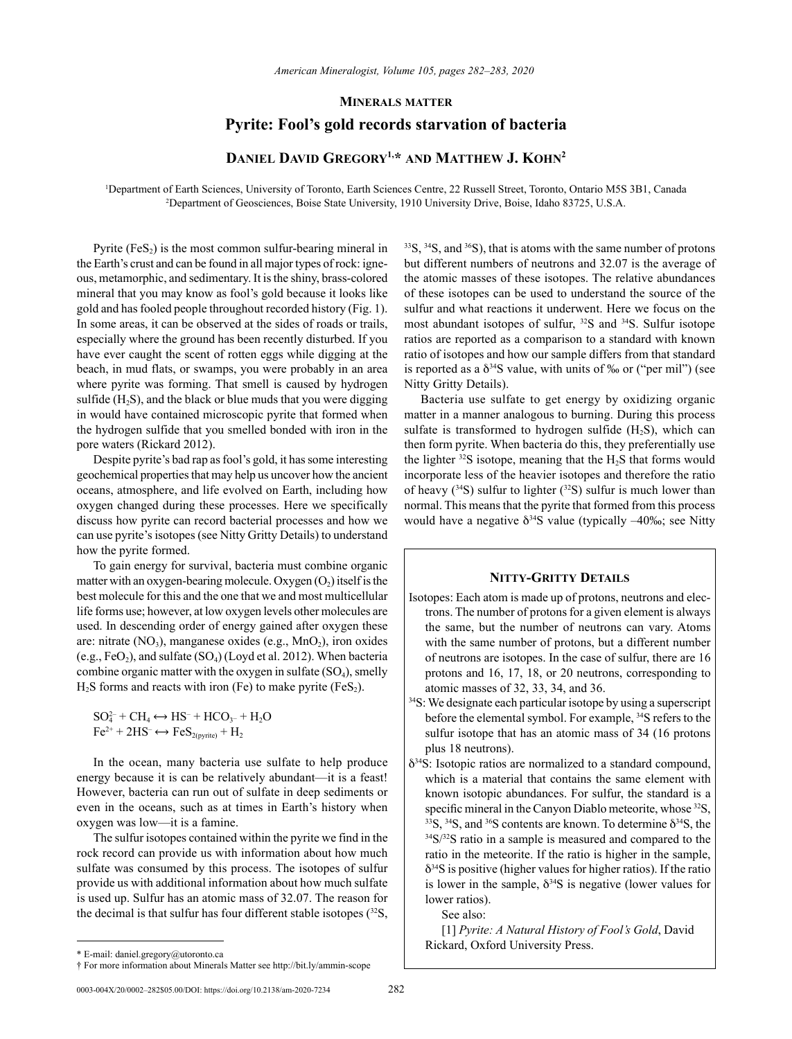## **Minerals matter**

## **Pyrite: Fool's gold records starvation of bacteria**

# DANIEL DAVID GREGORY<sup>1,\*</sup> AND MATTHEW J. KOHN<sup>2</sup>

1 Department of Earth Sciences, University of Toronto, Earth Sciences Centre, 22 Russell Street, Toronto, Ontario M5S 3B1, Canada 2 Department of Geosciences, Boise State University, 1910 University Drive, Boise, Idaho 83725, U.S.A.

Pyrite  $(F \in S_2)$  is the most common sulfur-bearing mineral in the Earth's crust and can be found in all major types of rock: igneous, metamorphic, and sedimentary. It is the shiny, brass-colored mineral that you may know as fool's gold because it looks like gold and has fooled people throughout recorded history (Fig. 1). In some areas, it can be observed at the sides of roads or trails, especially where the ground has been recently disturbed. If you have ever caught the scent of rotten eggs while digging at the beach, in mud flats, or swamps, you were probably in an area where pyrite was forming. That smell is caused by hydrogen sulfide  $(H_2S)$ , and the black or blue muds that you were digging in would have contained microscopic pyrite that formed when the hydrogen sulfide that you smelled bonded with iron in the pore waters (Rickard 2012).

Despite pyrite's bad rap as fool's gold, it has some interesting geochemical properties that may help us uncover how the ancient oceans, atmosphere, and life evolved on Earth, including how oxygen changed during these processes. Here we specifically discuss how pyrite can record bacterial processes and how we can use pyrite's isotopes (see Nitty Gritty Details) to understand how the pyrite formed.

To gain energy for survival, bacteria must combine organic matter with an oxygen-bearing molecule. Oxygen  $(O_2)$  itself is the best molecule for this and the one that we and most multicellular life forms use; however, at low oxygen levels other molecules are used. In descending order of energy gained after oxygen these are: nitrate  $(NO<sub>3</sub>)$ , manganese oxides (e.g.,  $MnO<sub>2</sub>$ ), iron oxides (e.g.,  $FeO<sub>2</sub>$ ), and sulfate (SO<sub>4</sub>) (Loyd et al. 2012). When bacteria combine organic matter with the oxygen in sulfate  $(SO<sub>4</sub>)$ , smelly  $H<sub>2</sub>S$  forms and reacts with iron (Fe) to make pyrite (FeS<sub>2</sub>).

 $SO_4^{2-} + CH_4 \leftrightarrow HS^- + HCO_{3-} + H_2O$  $Fe^{2+} + 2HS^{-} \leftrightarrow FeS_{2(pwrite)} + H_2$ 

In the ocean, many bacteria use sulfate to help produce energy because it is can be relatively abundant—it is a feast! However, bacteria can run out of sulfate in deep sediments or even in the oceans, such as at times in Earth's history when oxygen was low—it is a famine.

The sulfur isotopes contained within the pyrite we find in the rock record can provide us with information about how much sulfate was consumed by this process. The isotopes of sulfur provide us with additional information about how much sulfate is used up. Sulfur has an atomic mass of 32.07. The reason for the decimal is that sulfur has four different stable isotopes  $(^{32}S, )$  <sup>33</sup>S, <sup>34</sup>S, and <sup>36</sup>S), that is atoms with the same number of protons but different numbers of neutrons and 32.07 is the average of the atomic masses of these isotopes. The relative abundances of these isotopes can be used to understand the source of the sulfur and what reactions it underwent. Here we focus on the most abundant isotopes of sulfur, <sup>32</sup>S and <sup>34</sup>S. Sulfur isotope ratios are reported as a comparison to a standard with known ratio of isotopes and how our sample differs from that standard is reported as a  $\delta^{34}S$  value, with units of ‰ or ("per mil") (see Nitty Gritty Details).

Bacteria use sulfate to get energy by oxidizing organic matter in a manner analogous to burning. During this process sulfate is transformed to hydrogen sulfide  $(H<sub>2</sub>S)$ , which can then form pyrite. When bacteria do this, they preferentially use the lighter  $32S$  isotope, meaning that the H<sub>2</sub>S that forms would incorporate less of the heavier isotopes and therefore the ratio of heavy ( $34$ S) sulfur to lighter ( $32$ S) sulfur is much lower than normal. This means that the pyrite that formed from this process would have a negative  $\delta^{34}S$  value (typically –40‰; see Nitty

### **Nitty-Gritty Details**

- Isotopes: Each atom is made up of protons, neutrons and electrons. The number of protons for a given element is always the same, but the number of neutrons can vary. Atoms with the same number of protons, but a different number of neutrons are isotopes. In the case of sulfur, there are 16 protons and 16, 17, 18, or 20 neutrons, corresponding to atomic masses of 32, 33, 34, and 36.
- 34S: We designate each particular isotope by using a superscript before the elemental symbol. For example, 34S refers to the sulfur isotope that has an atomic mass of 34 (16 protons plus 18 neutrons).
- $\delta^{34}$ S: Isotopic ratios are normalized to a standard compound, which is a material that contains the same element with known isotopic abundances. For sulfur, the standard is a specific mineral in the Canyon Diablo meteorite, whose  $32S$ ,  $33S$ ,  $34S$ , and  $36S$  contents are known. To determine  $\delta^{34}S$ , the  $34S/32S$  ratio in a sample is measured and compared to the ratio in the meteorite. If the ratio is higher in the sample,  $\delta^{34}S$  is positive (higher values for higher ratios). If the ratio is lower in the sample,  $\delta^{34}S$  is negative (lower values for lower ratios).

See also:

[1] *Pyrite: A Natural History of Fool's Gold*, David Rickard, Oxford University Press.

<sup>\*</sup> E-mail: [daniel.gregory@utoronto.ca](mailto:daniel.gregory@utoronto.ca)

<sup>†</sup> For more information about Minerals Matter see http://bit.ly/ammin-scope